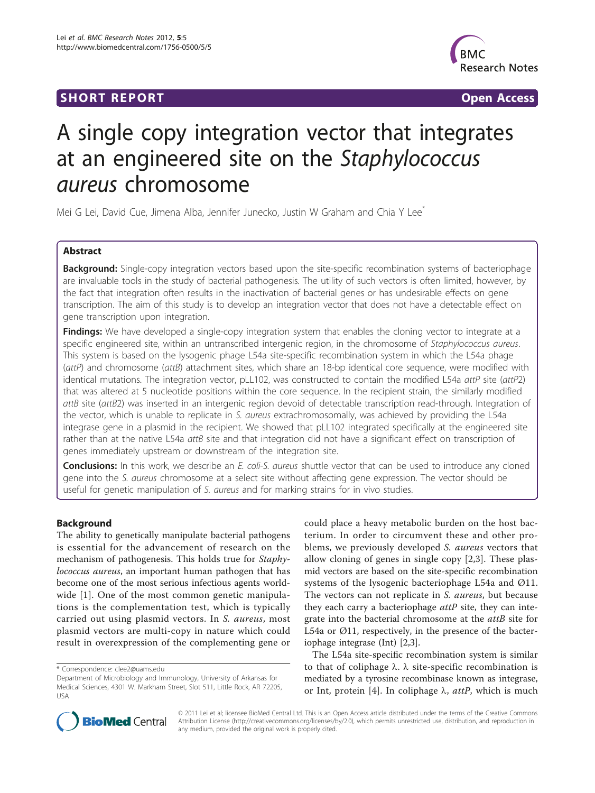## **SHORT REPORT CONSUMING THE OPEN ACCESS**



# A single copy integration vector that integrates at an engineered site on the Staphylococcus aureus chromosome

Mei G Lei, David Cue, Jimena Alba, Jennifer Junecko, Justin W Graham and Chia Y Lee<sup>\*</sup>

## Abstract

Background: Single-copy integration vectors based upon the site-specific recombination systems of bacteriophage are invaluable tools in the study of bacterial pathogenesis. The utility of such vectors is often limited, however, by the fact that integration often results in the inactivation of bacterial genes or has undesirable effects on gene transcription. The aim of this study is to develop an integration vector that does not have a detectable effect on gene transcription upon integration.

Findings: We have developed a single-copy integration system that enables the cloning vector to integrate at a specific engineered site, within an untranscribed intergenic region, in the chromosome of Staphylococcus aureus. This system is based on the lysogenic phage L54a site-specific recombination system in which the L54a phage (attP) and chromosome (attB) attachment sites, which share an 18-bp identical core sequence, were modified with identical mutations. The integration vector, pLL102, was constructed to contain the modified L54a attP site (attP2) that was altered at 5 nucleotide positions within the core sequence. In the recipient strain, the similarly modified attB site (attB2) was inserted in an intergenic region devoid of detectable transcription read-through. Integration of the vector, which is unable to replicate in S. aureus extrachromosomally, was achieved by providing the L54a integrase gene in a plasmid in the recipient. We showed that pLL102 integrated specifically at the engineered site rather than at the native L54a attB site and that integration did not have a significant effect on transcription of genes immediately upstream or downstream of the integration site.

Conclusions: In this work, we describe an E. coli-S. aureus shuttle vector that can be used to introduce any cloned gene into the S. aureus chromosome at a select site without affecting gene expression. The vector should be useful for genetic manipulation of S. aureus and for marking strains for in vivo studies.

### Background

The ability to genetically manipulate bacterial pathogens is essential for the advancement of research on the mechanism of pathogenesis. This holds true for Staphylococcus aureus, an important human pathogen that has become one of the most serious infectious agents worldwide [\[1](#page-6-0)]. One of the most common genetic manipulations is the complementation test, which is typically carried out using plasmid vectors. In S. aureus, most plasmid vectors are multi-copy in nature which could result in overexpression of the complementing gene or

could place a heavy metabolic burden on the host bacterium. In order to circumvent these and other problems, we previously developed S. aureus vectors that allow cloning of genes in single copy [[2,3](#page-6-0)]. These plasmid vectors are based on the site-specific recombination systems of the lysogenic bacteriophage L54a and Ø11. The vectors can not replicate in S. aureus, but because they each carry a bacteriophage  $attP$  site, they can integrate into the bacterial chromosome at the attB site for L54a or Ø11, respectively, in the presence of the bacteriophage integrase (Int) [[2](#page-6-0),[3](#page-6-0)].

The L54a site-specific recombination system is similar to that of coliphage  $\lambda$ .  $\lambda$  site-specific recombination is mediated by a tyrosine recombinase known as integrase, or Int, protein [\[4](#page-6-0)]. In coliphage  $\lambda$ , attP, which is much



© 2011 Lei et al; licensee BioMed Central Ltd. This is an Open Access article distributed under the terms of the Creative Commons Attribution License [\(http://creativecommons.org/licenses/by/2.0](http://creativecommons.org/licenses/by/2.0)), which permits unrestricted use, distribution, and reproduction in any medium, provided the original work is properly cited.

<sup>\*</sup> Correspondence: [clee2@uams.edu](mailto:clee2@uams.edu)

Department of Microbiology and Immunology, University of Arkansas for Medical Sciences, 4301 W. Markham Street, Slot 511, Little Rock, AR 72205, USA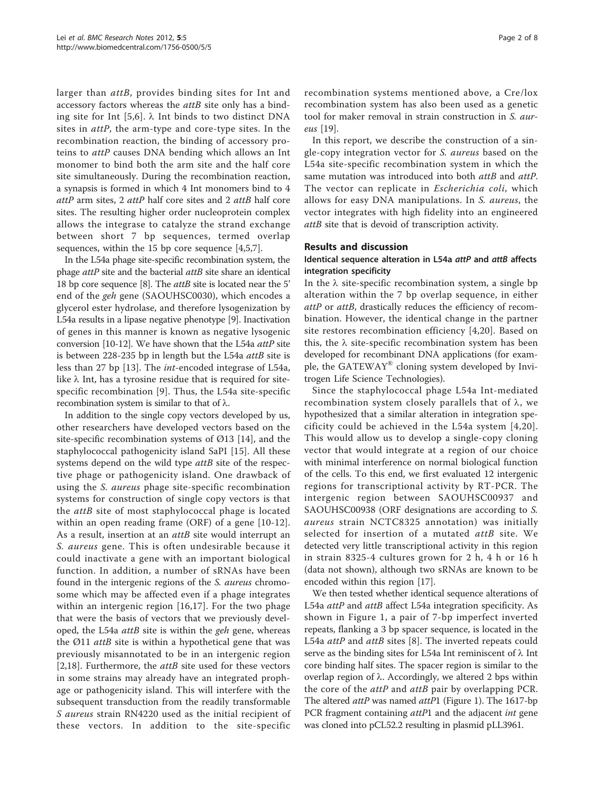larger than attB, provides binding sites for Int and accessory factors whereas the *attB* site only has a bind-ing site for Int [\[5](#page-6-0),[6](#page-6-0)].  $\lambda$  Int binds to two distinct DNA sites in attP, the arm-type and core-type sites. In the recombination reaction, the binding of accessory proteins to *attP* causes DNA bending which allows an Int monomer to bind both the arm site and the half core site simultaneously. During the recombination reaction, a synapsis is formed in which 4 Int monomers bind to 4 attP arm sites, 2 attP half core sites and 2 attB half core sites. The resulting higher order nucleoprotein complex allows the integrase to catalyze the strand exchange between short 7 bp sequences, termed overlap sequences, within the 15 bp core sequence [[4,5,7\]](#page-6-0).

In the L54a phage site-specific recombination system, the phage *attP* site and the bacterial *attB* site share an identical 18 bp core sequence [\[8\]](#page-6-0). The *attB* site is located near the 5' end of the geh gene (SAOUHSC0030), which encodes a glycerol ester hydrolase, and therefore lysogenization by L54a results in a lipase negative phenotype [\[9](#page-6-0)]. Inactivation of genes in this manner is known as negative lysogenic conversion [[10-12](#page-6-0)]. We have shown that the L54a attP site is between 228-235 bp in length but the L54a attB site is less than 27 bp [[13](#page-6-0)]. The int-encoded integrase of L54a, like  $\lambda$  Int, has a tyrosine residue that is required for sitespecific recombination [[9\]](#page-6-0). Thus, the L54a site-specific recombination system is similar to that of  $\lambda$ .

In addition to the single copy vectors developed by us, other researchers have developed vectors based on the site-specific recombination systems of  $\varnothing$ 13 [[14\]](#page-6-0), and the staphylococcal pathogenicity island SaPI [\[15](#page-6-0)]. All these systems depend on the wild type *attB* site of the respective phage or pathogenicity island. One drawback of using the S. aureus phage site-specific recombination systems for construction of single copy vectors is that the attB site of most staphylococcal phage is located within an open reading frame (ORF) of a gene [\[10](#page-6-0)-[12](#page-6-0)]. As a result, insertion at an *attB* site would interrupt an S. aureus gene. This is often undesirable because it could inactivate a gene with an important biological function. In addition, a number of sRNAs have been found in the intergenic regions of the S. aureus chromosome which may be affected even if a phage integrates within an intergenic region [\[16](#page-6-0),[17\]](#page-6-0). For the two phage that were the basis of vectors that we previously developed, the L54a *attB* site is within the *geh* gene, whereas the  $Ø11$  *attB* site is within a hypothetical gene that was previously misannotated to be in an intergenic region [[2,18](#page-6-0)]. Furthermore, the  $attB$  site used for these vectors in some strains may already have an integrated prophage or pathogenicity island. This will interfere with the subsequent transduction from the readily transformable S aureus strain RN4220 used as the initial recipient of these vectors. In addition to the site-specific

recombination systems mentioned above, a Cre/lox recombination system has also been used as a genetic tool for maker removal in strain construction in S. aureus [\[19\]](#page-6-0).

In this report, we describe the construction of a single-copy integration vector for S. aureus based on the L54a site-specific recombination system in which the same mutation was introduced into both attB and attP. The vector can replicate in *Escherichia coli*, which allows for easy DNA manipulations. In S. aureus, the vector integrates with high fidelity into an engineered attB site that is devoid of transcription activity.

#### Results and discussion

#### Identical sequence alteration in L54a attP and attB affects integration specificity

In the  $\lambda$  site-specific recombination system, a single bp alteration within the 7 bp overlap sequence, in either attP or attB, drastically reduces the efficiency of recombination. However, the identical change in the partner site restores recombination efficiency [[4,20\]](#page-6-0). Based on this, the  $\lambda$  site-specific recombination system has been developed for recombinant DNA applications (for example, the GATEWAY<sup>®</sup> cloning system developed by Invitrogen Life Science Technologies).

Since the staphylococcal phage L54a Int-mediated recombination system closely parallels that of  $\lambda$ , we hypothesized that a similar alteration in integration specificity could be achieved in the L54a system [\[4,20\]](#page-6-0). This would allow us to develop a single-copy cloning vector that would integrate at a region of our choice with minimal interference on normal biological function of the cells. To this end, we first evaluated 12 intergenic regions for transcriptional activity by RT-PCR. The intergenic region between SAOUHSC00937 and SAOUHSC00938 (ORF designations are according to S. aureus strain NCTC8325 annotation) was initially selected for insertion of a mutated attB site. We detected very little transcriptional activity in this region in strain 8325-4 cultures grown for 2 h, 4 h or 16 h (data not shown), although two sRNAs are known to be encoded within this region [\[17\]](#page-6-0).

We then tested whether identical sequence alterations of L54a attP and attB affect L54a integration specificity. As shown in Figure [1,](#page-2-0) a pair of 7-bp imperfect inverted repeats, flanking a 3 bp spacer sequence, is located in the L54a *attP* and *attB* sites [\[8](#page-6-0)]. The inverted repeats could serve as the binding sites for L54a Int reminiscent of  $\lambda$  Int core binding half sites. The spacer region is similar to the overlap region of  $\lambda$ . Accordingly, we altered 2 bps within the core of the *attP* and *attB* pair by overlapping PCR. The altered attP was named attP1 (Figure [1](#page-2-0)). The 1617-bp PCR fragment containing *attP*1 and the adjacent *int* gene was cloned into pCL52.2 resulting in plasmid pLL3961.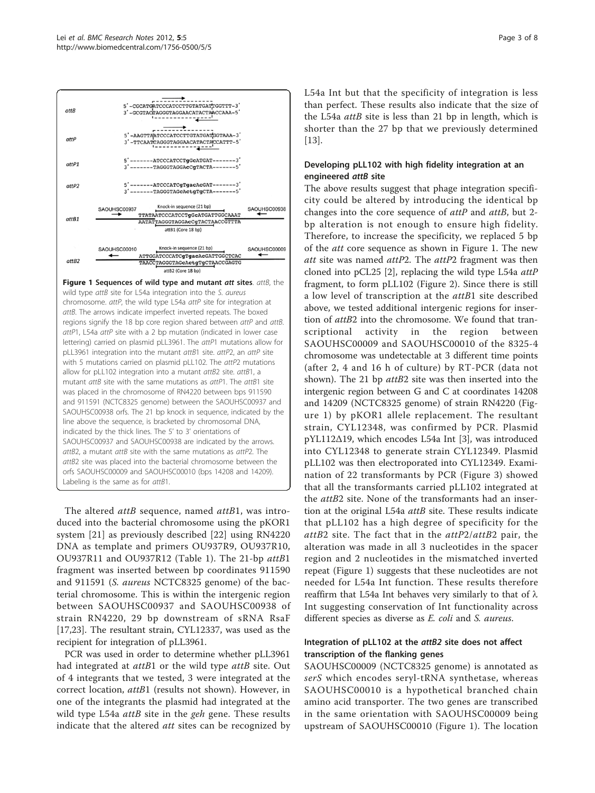<span id="page-2-0"></span>

The altered attB sequence, named attB1, was introduced into the bacterial chromosome using the pKOR1 system [[21](#page-6-0)] as previously described [[22](#page-6-0)] using RN4220 DNA as template and primers OU937R9, OU937R10, OU937R11 and OU937R12 (Table [1\)](#page-3-0). The 21-bp attB<sup>1</sup> fragment was inserted between bp coordinates 911590 and 911591 (S. aureus NCTC8325 genome) of the bacterial chromosome. This is within the intergenic region between SAOUHSC00937 and SAOUHSC00938 of strain RN4220, 29 bp downstream of sRNA RsaF [[17,23\]](#page-6-0). The resultant strain, CYL12337, was used as the recipient for integration of pLL3961.

PCR was used in order to determine whether pLL3961 had integrated at *attB*1 or the wild type *attB* site. Out of 4 integrants that we tested, 3 were integrated at the correct location, attB1 (results not shown). However, in one of the integrants the plasmid had integrated at the wild type L54a  $attB$  site in the *geh* gene. These results indicate that the altered att sites can be recognized by L54a Int but that the specificity of integration is less than perfect. These results also indicate that the size of the L54a *attB* site is less than 21 bp in length, which is shorter than the 27 bp that we previously determined [[13\]](#page-6-0).

## Developing pLL102 with high fidelity integration at an engineered attB site

The above results suggest that phage integration specificity could be altered by introducing the identical bp changes into the core sequence of  $attP$  and  $attB$ , but 2bp alteration is not enough to ensure high fidelity. Therefore, to increase the specificity, we replaced 5 bp of the att core sequence as shown in Figure 1. The new att site was named attP2. The attP2 fragment was then cloned into pCL25 [[2\]](#page-6-0), replacing the wild type L54a attP fragment, to form pLL102 (Figure [2\)](#page-4-0). Since there is still a low level of transcription at the attB1 site described above, we tested additional intergenic regions for insertion of *attB2* into the chromosome. We found that tran-<br>scriptional activity in the region between scriptional SAOUHSC00009 and SAOUHSC00010 of the 8325-4 chromosome was undetectable at 3 different time points (after 2, 4 and 16 h of culture) by RT-PCR (data not shown). The 21 bp *attB2* site was then inserted into the intergenic region between G and C at coordinates 14208 and 14209 (NCTC8325 genome) of strain RN4220 (Figure 1) by pKOR1 allele replacement. The resultant strain, CYL12348, was confirmed by PCR. Plasmid pYL112Δ19, which encodes L54a Int [[3](#page-6-0)], was introduced into CYL12348 to generate strain CYL12349. Plasmid pLL102 was then electroporated into CYL12349. Examination of 22 transformants by PCR (Figure [3\)](#page-5-0) showed that all the transformants carried pLL102 integrated at the *attB*2 site. None of the transformants had an insertion at the original L54a attB site. These results indicate that pLL102 has a high degree of specificity for the  $attB2$  site. The fact that in the  $attP2/attB2$  pair, the alteration was made in all 3 nucleotides in the spacer region and 2 nucleotides in the mismatched inverted repeat (Figure 1) suggests that these nucleotides are not needed for L54a Int function. These results therefore reaffirm that L54a Int behaves very similarly to that of  $\lambda$ Int suggesting conservation of Int functionality across different species as diverse as E. coli and S. aureus.

## Integration of pLL102 at the attB2 site does not affect transcription of the flanking genes

SAOUHSC00009 (NCTC8325 genome) is annotated as serS which encodes seryl-tRNA synthetase, whereas SAOUHSC00010 is a hypothetical branched chain amino acid transporter. The two genes are transcribed in the same orientation with SAOUHSC00009 being upstream of SAOUHSC00010 (Figure 1). The location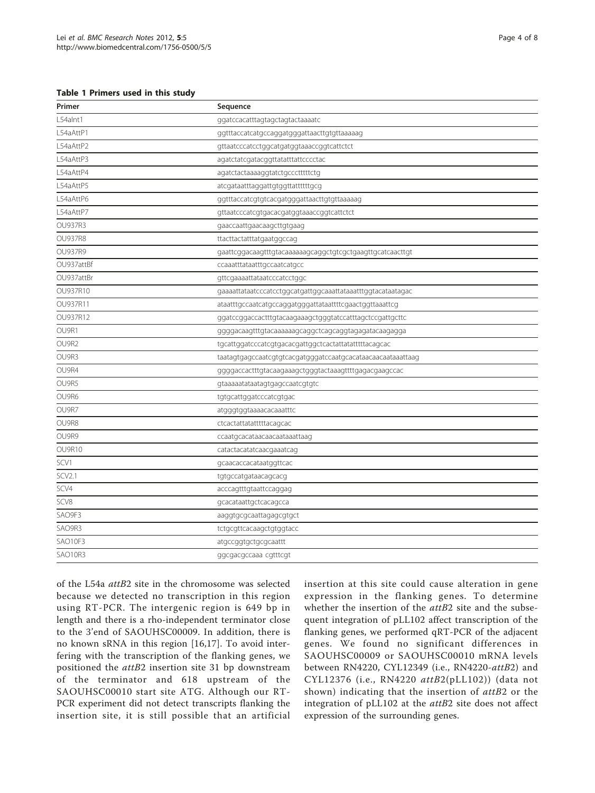<span id="page-3-0"></span>Table 1 Primers used in this study

| Primer         | Sequence                                                    |
|----------------|-------------------------------------------------------------|
| L54alnt1       | ggatccacatttagtagctagtactaaaatc                             |
| L54aAttP1      | ggtttaccatcatgccaggatgggattaacttgtgttaaaaag                 |
| L54aAttP2      | gttaatcccatcctggcatgatggtaaaccggtcattctct                   |
| L54aAttP3      | agatctatcgatacggttatatttattcccctac                          |
| L54aAttP4      | agatctactaaaaggtatctgccctttttctg                            |
| L54aAttP5      | atcgataatttaggattgtggttattttttgcg                           |
| L54aAttP6      | ggtttaccatcgtgtcacgatgggattaacttgtgttaaaaag                 |
| L54aAttP7      | gttaatcccatcgtgacacgatggtaaaccggtcattctct                   |
| <b>OU937R3</b> | gaaccaattgaacaagcttgtgaag                                   |
| <b>OU937R8</b> | ttacttactatttatgaatggccag                                   |
| <b>OU937R9</b> | gaattcggacaagtttgtacaaaaaagcaggctgtcgctgaagttgcatcaacttgt   |
| OU937attBf     | ccaaatttataatttgccaatcatgcc                                 |
| OU937attBr     | gttcgaaaattataatcccatcctggc                                 |
| OU937R10       | gaaaattataatcccatcctggcatgattggcaaattataaatttggtacataatagac |
| OU937R11       | ataatttgccaatcatgccaggatgggattataattttcgaactggttaaattcg     |
| OU937R12       | ggatccggaccactttgtacaagaaagctgggtatccatttagctccgattgcttc    |
| OU9R1          | ggggacaagtttgtacaaaaaagcaggctcagcaggtagagatacaagagga        |
| OU9R2          | tgcattggatcccatcgtgacacgattggctcactattatatttttacagcac       |
| OU9R3          | taatagtgagccaatcgtgtcacgatgggatccaatgcacataacaacaataaattaag |
| OU9R4          | ggggaccactttgtacaagaaagctgggtactaaagttttgagacgaagccac       |
| OU9R5          | gtaaaaatataatagtgagccaatcgtgtc                              |
| OU9R6          | tgtgcattggatcccatcgtgac                                     |
| OU9R7          | atgggtggtaaaacacaaatttc                                     |
| OU9R8          | ctcactattatatttttacagcac                                    |
| OU9R9          | ccaatgcacataacaacaataaattaag                                |
| OU9R10         | catactacatatcaacgaaatcag                                    |
| SCV1           | gcaacaccacataatggttcac                                      |
| <b>SCV2.1</b>  | tgtgccatgataacagcacg                                        |
| SCV4           | acccagtttgtaattccaggag                                      |
| SCV8           | gcacataattgctcacagcca                                       |
| SAO9F3         | aaggtgcgcaattagagcgtgct                                     |
| SAO9R3         | tctgcgttcacaagctgtggtacc                                    |
| SAO10F3        | atgccggtgctgcgcaattt                                        |
| SAO10R3        | ggcgacgccaaa cgtttcgt                                       |
|                |                                                             |

of the L54a attB2 site in the chromosome was selected because we detected no transcription in this region using RT-PCR. The intergenic region is 649 bp in length and there is a rho-independent terminator close to the 3'end of SAOUHSC00009. In addition, there is no known sRNA in this region [[16,17\]](#page-6-0). To avoid interfering with the transcription of the flanking genes, we positioned the attB2 insertion site 31 bp downstream of the terminator and 618 upstream of the SAOUHSC00010 start site ATG. Although our RT-PCR experiment did not detect transcripts flanking the insertion site, it is still possible that an artificial insertion at this site could cause alteration in gene expression in the flanking genes. To determine whether the insertion of the attB2 site and the subsequent integration of pLL102 affect transcription of the flanking genes, we performed qRT-PCR of the adjacent genes. We found no significant differences in SAOUHSC00009 or SAOUHSC00010 mRNA levels between RN4220, CYL12349 (i.e., RN4220-attB2) and CYL12376 (i.e., RN4220 attB2(pLL102)) (data not shown) indicating that the insertion of attB2 or the integration of pLL102 at the attB2 site does not affect expression of the surrounding genes.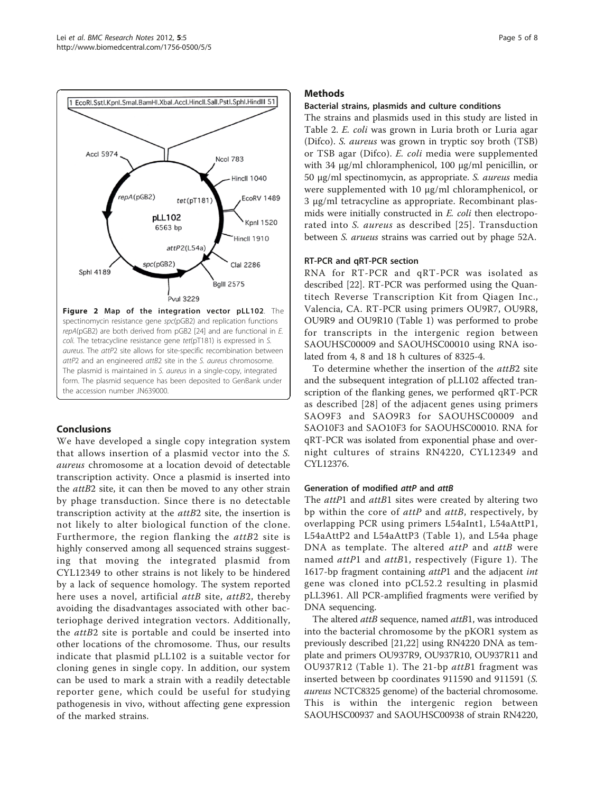<span id="page-4-0"></span>

Figure 2 Map of the integration vector pLL102. The spectinomycin resistance gene spc(pGB2) and replication functions repA(pGB2) are both derived from pGB2 [\[24](#page-6-0)] and are functional in E. coli. The tetracycline resistance gene tet(pT181) is expressed in S. aureus. The attP2 site allows for site-specific recombination between attP2 and an engineered attB2 site in the S. aureus chromosome. The plasmid is maintained in S. aureus in a single-copy, integrated form. The plasmid sequence has been deposited to GenBank under the accession number [JN639000](http://www.ncbi.nlm.nih.gov/pubmed/639000?dopt=Abstract).

### Conclusions

We have developed a single copy integration system that allows insertion of a plasmid vector into the S. aureus chromosome at a location devoid of detectable transcription activity. Once a plasmid is inserted into the *attB2* site, it can then be moved to any other strain by phage transduction. Since there is no detectable transcription activity at the attB2 site, the insertion is not likely to alter biological function of the clone. Furthermore, the region flanking the *attB2* site is highly conserved among all sequenced strains suggesting that moving the integrated plasmid from CYL12349 to other strains is not likely to be hindered by a lack of sequence homology. The system reported here uses a novel, artificial attB site, attB2, thereby avoiding the disadvantages associated with other bacteriophage derived integration vectors. Additionally, the attB2 site is portable and could be inserted into other locations of the chromosome. Thus, our results indicate that plasmid pLL102 is a suitable vector for cloning genes in single copy. In addition, our system can be used to mark a strain with a readily detectable reporter gene, which could be useful for studying pathogenesis in vivo, without affecting gene expression of the marked strains.

## Methods

#### Bacterial strains, plasmids and culture conditions

The strains and plasmids used in this study are listed in Table [2.](#page-5-0) E. coli was grown in Luria broth or Luria agar (Difco). S. aureus was grown in tryptic soy broth (TSB) or TSB agar (Difco). E. coli media were supplemented with 34 μg/ml chloramphenicol, 100 μg/ml penicillin, or <sup>50</sup> <sup>μ</sup>g/ml spectinomycin, as appropriate. S. aureus media were supplemented with 10 μg/ml chloramphenicol, or 3 μg/ml tetracycline as appropriate. Recombinant plasmids were initially constructed in E. coli then electroporated into S. aureus as described [[25\]](#page-6-0). Transduction between S. arueus strains was carried out by phage 52A.

#### RT-PCR and qRT-PCR section

RNA for RT-PCR and qRT-PCR was isolated as described [\[22\]](#page-6-0). RT-PCR was performed using the Quantitech Reverse Transcription Kit from Qiagen Inc., Valencia, CA. RT-PCR using primers OU9R7, OU9R8, OU9R9 and OU9R10 (Table [1](#page-3-0)) was performed to probe for transcripts in the intergenic region between SAOUHSC00009 and SAOUHSC00010 using RNA isolated from 4, 8 and 18 h cultures of 8325-4.

To determine whether the insertion of the attB2 site and the subsequent integration of pLL102 affected transcription of the flanking genes, we performed qRT-PCR as described [[28](#page-7-0)] of the adjacent genes using primers SAO9F3 and SAO9R3 for SAOUHSC00009 and SAO10F3 and SAO10F3 for SAOUHSC00010. RNA for qRT-PCR was isolated from exponential phase and overnight cultures of strains RN4220, CYL12349 and CYL12376.

### Generation of modified attP and attB

The attP1 and attB1 sites were created by altering two bp within the core of *attP* and *attB*, respectively, by overlapping PCR using primers L54aInt1, L54aAttP1, L54aAttP2 and L54aAttP3 (Table [1\)](#page-3-0), and L54a phage DNA as template. The altered  $attP$  and  $attB$  were named *attP*1 and *attB*1, respectively (Figure [1\)](#page-2-0). The 1617-bp fragment containing attP1 and the adjacent int gene was cloned into pCL52.2 resulting in plasmid pLL3961. All PCR-amplified fragments were verified by DNA sequencing.

The altered *attB* sequence, named *attB*1, was introduced into the bacterial chromosome by the pKOR1 system as previously described [[21](#page-6-0),[22](#page-6-0)] using RN4220 DNA as template and primers OU937R9, OU937R10, OU937R11 and OU937R12 (Table [1](#page-3-0)). The 21-bp attB1 fragment was inserted between bp coordinates 911590 and 911591 (S. aureus NCTC8325 genome) of the bacterial chromosome. This is within the intergenic region between SAOUHSC00937 and SAOUHSC00938 of strain RN4220,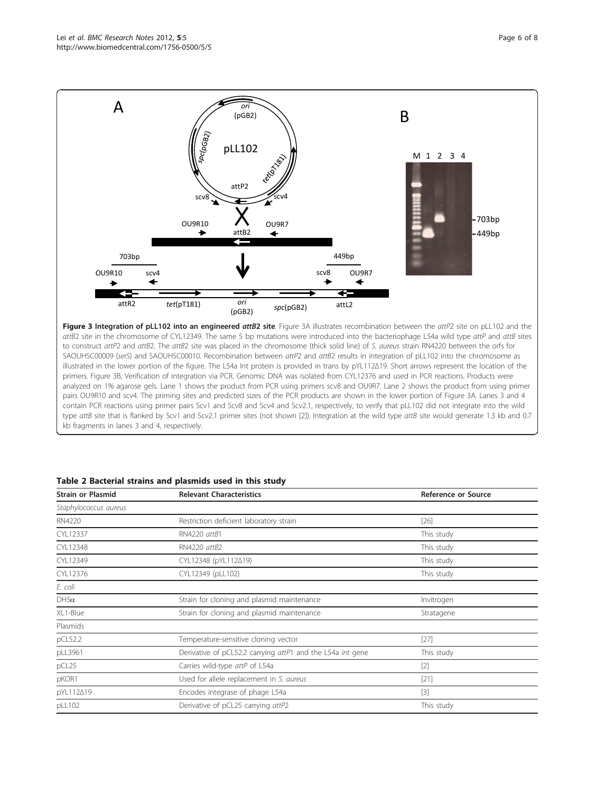<span id="page-5-0"></span>

Figure 3 Integration of pLL102 into an engineered attB2 site. Figure 3A illustrates recombination between the attP2 site on pLL102 and the attB2 site in the chromosome of CYL12349. The same 5 bp mutations were introduced into the bacteriophage L54a wild type attP and attB sites to construct attP2 and attB2. The attB2 site was placed in the chromosome (thick solid line) of S. aureus strain RN4220 between the orfs for SAOUHSC00009 (serS) and SAOUHSC00010. Recombination between attP2 and attB2 results in integration of pLL102 into the chromosome as illustrated in the lower portion of the figure. The L54a Int protein is provided in trans by pYL112Δ19. Short arrows represent the location of the primers. Figure 3B, Verification of integration via PCR. Genomic DNA was isolated from CYL12376 and used in PCR reactions. Products were analyzed on 1% agarose gels. Lane 1 shows the product from PCR using primers scv8 and OU9R7. Lane 2 shows the product from using primer pairs OU9R10 and scv4. The priming sites and predicted sizes of the PCR products are shown in the lower portion of Figure 3A. Lanes 3 and 4 contain PCR reactions using primer pairs Scv1 and Scv8 and Scv4 and Scv2.1, respectively, to verify that pLL102 did not integrate into the wild type attB site that is flanked by Scv1 and Scv[2](#page-6-0).1 primer sites (not shown [2]). Integration at the wild type attB site would generate 1.3 kb and 0.7 kb fragments in lanes 3 and 4, respectively.

|  |  |  |  | Table 2 Bacterial strains and plasmids used in this study |  |  |  |  |
|--|--|--|--|-----------------------------------------------------------|--|--|--|--|
|--|--|--|--|-----------------------------------------------------------|--|--|--|--|

| <b>Strain or Plasmid</b> | <b>Relevant Characteristics</b>                            | Reference or Source |  |  |
|--------------------------|------------------------------------------------------------|---------------------|--|--|
| Staphylococcus aureus    |                                                            |                     |  |  |
| RN4220                   | Restriction deficient laboratory strain                    | $[26]$              |  |  |
| CYL12337                 | RN4220 attB1                                               | This study          |  |  |
| CYL12348                 | RN4220 attB2                                               | This study          |  |  |
| CYL12349                 | CYL12348 (pYL112∆19)                                       | This study          |  |  |
| CYL12376                 | CYL12349 (pLL102)                                          | This study          |  |  |
| E. coli                  |                                                            |                     |  |  |
| $DH5\alpha$              | Strain for cloning and plasmid maintenance                 | Invitrogen          |  |  |
| XL1-Blue                 | Strain for cloning and plasmid maintenance                 | Stratagene          |  |  |
| Plasmids                 |                                                            |                     |  |  |
| pCL52.2                  | Temperature-sensitive cloning vector                       | [27]                |  |  |
| pLL3961                  | Derivative of pCL52.2 carrying attP1 and the L54a int gene | This study          |  |  |
| pCL <sub>25</sub>        | Carries wild-type attP of L54a                             | $[2]$               |  |  |
| pKOR1                    | Used for allele replacement in S. aureus                   | $[21]$              |  |  |
| pYL112419                | Encodes integrase of phage L54a                            | $[3]$               |  |  |
| pLL102                   | Derivative of pCL25 carrying attP2                         | This study          |  |  |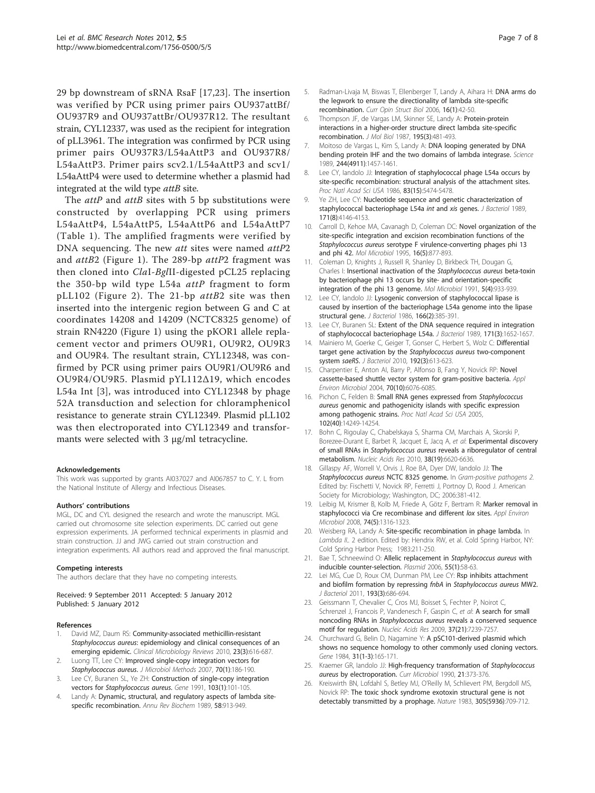<span id="page-6-0"></span>29 bp downstream of sRNA RsaF [17,23]. The insertion was verified by PCR using primer pairs OU937attBf/ OU937R9 and OU937attBr/OU937R12. The resultant strain, CYL12337, was used as the recipient for integration of pLL3961. The integration was confirmed by PCR using primer pairs OU937R3/L54aAttP3 and OU937R8/ L54aAttP3. Primer pairs scv2.1/L54aAttP3 and scv1/ L54aAttP4 were used to determine whether a plasmid had integrated at the wild type *attB* site.

The attP and attB sites with 5 bp substitutions were constructed by overlapping PCR using primers L54aAttP4, L54aAttP5, L54aAttP6 and L54aAttP7 (Table [1](#page-3-0)). The amplified fragments were verified by DNA sequencing. The new *att* sites were named *attP2* and attB2 (Figure [1](#page-2-0)). The 289-bp attP2 fragment was then cloned into ClaI-BglII-digested pCL25 replacing the 350-bp wild type L54a  $attP$  fragment to form pLL102 (Figure [2](#page-4-0)). The 21-bp  $attB2$  site was then inserted into the intergenic region between G and C at coordinates 14208 and 14209 (NCTC8325 genome) of strain RN4220 (Figure [1\)](#page-2-0) using the pKOR1 allele replacement vector and primers OU9R1, OU9R2, OU9R3 and OU9R4. The resultant strain, CYL12348, was confirmed by PCR using primer pairs OU9R1/OU9R6 and OU9R4/OU9R5. Plasmid pYL112Δ19, which encodes L54a Int [3], was introduced into CYL12348 by phage 52A transduction and selection for chloramphenicol resistance to generate strain CYL12349. Plasmid pLL102 was then electroporated into CYL12349 and transformants were selected with 3 μg/ml tetracycline.

#### Acknowledgements

This work was supported by grants AI037027 and AI067857 to C. Y. L from the National Institute of Allergy and Infectious Diseases.

#### Authors' contributions

MGL, DC and CYL designed the research and wrote the manuscript. MGL carried out chromosome site selection experiments. DC carried out gene expression experiments. JA performed technical experiments in plasmid and strain construction. JJ and JWG carried out strain construction and integration experiments. All authors read and approved the final manuscript.

#### Competing interests

The authors declare that they have no competing interests.

Received: 9 September 2011 Accepted: 5 January 2012 Published: 5 January 2012

#### References

- 1. David MZ, Daum RS: [Community-associated methicillin-resistant](http://www.ncbi.nlm.nih.gov/pubmed/20610826?dopt=Abstract) Staphylococcus aureus[: epidemiology and clinical consequences of an](http://www.ncbi.nlm.nih.gov/pubmed/20610826?dopt=Abstract) [emerging epidemic.](http://www.ncbi.nlm.nih.gov/pubmed/20610826?dopt=Abstract) Clinical Microbiology Reviews 2010, 23(3):616-687.
- Luong TT, Lee CY: [Improved single-copy integration vectors for](http://www.ncbi.nlm.nih.gov/pubmed/17512993?dopt=Abstract) [Staphylococcus aureus](http://www.ncbi.nlm.nih.gov/pubmed/17512993?dopt=Abstract). J Microbiol Methods 2007, 70(1):186-190.
- Lee CY, Buranen SL, Ye ZH: [Construction of single-copy integration](http://www.ncbi.nlm.nih.gov/pubmed/1652539?dopt=Abstract) [vectors for](http://www.ncbi.nlm.nih.gov/pubmed/1652539?dopt=Abstract) Staphylococcus aureus. Gene 1991, 103(1):101-105.
- 4. Landy A: [Dynamic, structural, and regulatory aspects of lambda site](http://www.ncbi.nlm.nih.gov/pubmed/2528323?dopt=Abstract)[specific recombination.](http://www.ncbi.nlm.nih.gov/pubmed/2528323?dopt=Abstract) Annu Rev Biochem 1989, 58:913-949.
- 5. Radman-Livaja M, Biswas T, Ellenberger T, Landy A, Aihara H: [DNA arms do](http://www.ncbi.nlm.nih.gov/pubmed/16368232?dopt=Abstract) [the legwork to ensure the directionality of lambda site-specific](http://www.ncbi.nlm.nih.gov/pubmed/16368232?dopt=Abstract) [recombination.](http://www.ncbi.nlm.nih.gov/pubmed/16368232?dopt=Abstract) Curr Opin Struct Biol 2006, 16(1):42-50.
- 6. Thompson JF, de Vargas LM, Skinner SE, Landy A: [Protein-protein](http://www.ncbi.nlm.nih.gov/pubmed/2958633?dopt=Abstract) [interactions in a higher-order structure direct lambda site-specific](http://www.ncbi.nlm.nih.gov/pubmed/2958633?dopt=Abstract) [recombination.](http://www.ncbi.nlm.nih.gov/pubmed/2958633?dopt=Abstract) J Mol Biol 1987, 195(3):481-493.
- 7. Moitoso de Vargas L, Kim S, Landy A: [DNA looping generated by DNA](http://www.ncbi.nlm.nih.gov/pubmed/2544029?dopt=Abstract) [bending protein IHF and the two domains of lambda integrase.](http://www.ncbi.nlm.nih.gov/pubmed/2544029?dopt=Abstract) Science 1989, 244(4911):1457-1461.
- Lee CY, Iandolo JJ: [Integration of staphylococcal phage L54a occurs by](http://www.ncbi.nlm.nih.gov/pubmed/2942938?dopt=Abstract) [site-specific recombination: structural analysis of the attachment sites.](http://www.ncbi.nlm.nih.gov/pubmed/2942938?dopt=Abstract) Proc Natl Acad Sci USA 1986, 83(15):5474-5478.
- 9. Ye ZH, Lee CY: [Nucleotide sequence and genetic characterization of](http://www.ncbi.nlm.nih.gov/pubmed/2526804?dopt=Abstract) [staphylococcal bacteriophage L54a](http://www.ncbi.nlm.nih.gov/pubmed/2526804?dopt=Abstract) int and xis genes. J Bacteriol 1989, 171(8):4146-4153.
- 10. Carroll D, Kehoe MA, Cavanagh D, Coleman DC: [Novel organization of the](http://www.ncbi.nlm.nih.gov/pubmed/7476186?dopt=Abstract) [site-specific integration and excision recombination functions of the](http://www.ncbi.nlm.nih.gov/pubmed/7476186?dopt=Abstract) Staphylococcus aureus [serotype F virulence-converting phages phi 13](http://www.ncbi.nlm.nih.gov/pubmed/7476186?dopt=Abstract) [and phi 42.](http://www.ncbi.nlm.nih.gov/pubmed/7476186?dopt=Abstract) Mol Microbiol 1995, 16(5):877-893.
- 11. Coleman D, Knights J, Russell R, Shanley D, Birkbeck TH, Dougan G, Charles I: [Insertional inactivation of the](http://www.ncbi.nlm.nih.gov/pubmed/1830359?dopt=Abstract) Staphylococcus aureus beta-toxin [by bacteriophage phi 13 occurs by site- and orientation-specific](http://www.ncbi.nlm.nih.gov/pubmed/1830359?dopt=Abstract) [integration of the phi 13 genome.](http://www.ncbi.nlm.nih.gov/pubmed/1830359?dopt=Abstract) Mol Microbiol 1991, 5(4):933-939.
- 12. Lee CY, landolo JJ: [Lysogenic conversion of staphylococcal lipase is](http://www.ncbi.nlm.nih.gov/pubmed/3009394?dopt=Abstract) [caused by insertion of the bacteriophage L54a genome into the lipase](http://www.ncbi.nlm.nih.gov/pubmed/3009394?dopt=Abstract) [structural gene.](http://www.ncbi.nlm.nih.gov/pubmed/3009394?dopt=Abstract) J Bacteriol 1986, 166(2):385-391.
- 13. Lee CY, Buranen SL: Extent [of the DNA sequence required in integration](http://www.ncbi.nlm.nih.gov/pubmed/2522092?dopt=Abstract) [of staphylococcal bacteriophage L54a.](http://www.ncbi.nlm.nih.gov/pubmed/2522092?dopt=Abstract) J Bacteriol 1989, 171(3):1652-1657.
- 14. Mainiero M, Goerke C, Geiger T, Gonser C, Herbert S, Wolz C: [Differential](http://www.ncbi.nlm.nih.gov/pubmed/19933357?dopt=Abstract) [target gene activation by the](http://www.ncbi.nlm.nih.gov/pubmed/19933357?dopt=Abstract) Staphylococcus aureus two-component [system](http://www.ncbi.nlm.nih.gov/pubmed/19933357?dopt=Abstract) saeRS. J Bacteriol 2010, 192(3):613-623.
- 15. Charpentier E, Anton AI, Barry P, Alfonso B, Fang Y, Novick RP: [Novel](http://www.ncbi.nlm.nih.gov/pubmed/15466553?dopt=Abstract) [cassette-based shuttle vector system for gram-positive bacteria.](http://www.ncbi.nlm.nih.gov/pubmed/15466553?dopt=Abstract) Appl Environ Microbiol 2004, 70(10):6076-6085.
- 16. Pichon C, Felden B: [Small RNA genes expressed from](http://www.ncbi.nlm.nih.gov/pubmed/16183745?dopt=Abstract) Staphylococcus aureus [genomic and pathogenicity islands with specific expression](http://www.ncbi.nlm.nih.gov/pubmed/16183745?dopt=Abstract) [among pathogenic strains.](http://www.ncbi.nlm.nih.gov/pubmed/16183745?dopt=Abstract) Proc Natl Acad Sci USA 2005, 102(40):14249-14254.
- 17. Bohn C, Rigoulay C, Chabelskaya S, Sharma CM, Marchais A, Skorski P, Borezee-Durant E, Barbet R, Jacquet E, Jacq A, et al: [Experimental discovery](http://www.ncbi.nlm.nih.gov/pubmed/20511587?dopt=Abstract) of small RNAs in Staphylococcus aureus [reveals a riboregulator of central](http://www.ncbi.nlm.nih.gov/pubmed/20511587?dopt=Abstract) [metabolism.](http://www.ncbi.nlm.nih.gov/pubmed/20511587?dopt=Abstract) Nucleic Acids Res 2010, 38(19):6620-6636.
- 18. Gillaspy AF, Worrell V, Orvis J, Roe BA, Dyer DW, landolo JJ: The Staphylococcus aureus NCTC 8325 genome. In Gram-positive pathogens 2. Edited by: Fischetti V, Novick RP, Ferretti J, Portnoy D, Rood J. American Society for Microbiology; Washington, DC; 2006:381-412.
- 19. Leibig M, Krismer B, Kolb M, Friede A, Götz F, Bertram R: [Marker removal in](http://www.ncbi.nlm.nih.gov/pubmed/18165371?dopt=Abstract) [staphylococci via Cre recombinase and different](http://www.ncbi.nlm.nih.gov/pubmed/18165371?dopt=Abstract) lox sites. Appl Environ Microbiol 2008, 74(5):1316-1323.
- 20. Weisberg RA, Landy A: Site-specific recombination in phage lambda. In Lambda II.. 2 edition. Edited by: Hendrix RW, et al. Cold Spring Harbor, NY: Cold Spring Harbor Press; 1983:211-250.
- 21. Bae T, Schneewind O: [Allelic replacement in](http://www.ncbi.nlm.nih.gov/pubmed/16051359?dopt=Abstract) Staphylococcus aureus with [inducible counter-selection.](http://www.ncbi.nlm.nih.gov/pubmed/16051359?dopt=Abstract) Plasmid 2006, 55(1):58-63.
- 22. Lei MG, Cue D, Roux CM, Dunman PM, Lee CY: [Rsp inhibits attachment](http://www.ncbi.nlm.nih.gov/pubmed/21131496?dopt=Abstract) [and biofilm formation by repressing](http://www.ncbi.nlm.nih.gov/pubmed/21131496?dopt=Abstract) fnbA in Staphylococcus aureus MW2. J Bacteriol 2011, 193(3):686-694.
- 23. Geissmann T, Chevalier C, Cros MJ, Boisset S, Fechter P, Noirot C, Schrenzel J, Francois P, Vandenesch F, Gaspin C, et al: [A search for small](http://www.ncbi.nlm.nih.gov/pubmed/19786493?dopt=Abstract) noncoding RNAs in Staphylococcus aureus [reveals a conserved sequence](http://www.ncbi.nlm.nih.gov/pubmed/19786493?dopt=Abstract) [motif for regulation.](http://www.ncbi.nlm.nih.gov/pubmed/19786493?dopt=Abstract) Nucleic Acids Res 2009, 37(21):7239-7257.
- 24. Churchward G, Belin D, Nagamine Y: [A pSC101-derived plasmid which](http://www.ncbi.nlm.nih.gov/pubmed/6098521?dopt=Abstract) [shows no sequence homology to other commonly used cloning vectors.](http://www.ncbi.nlm.nih.gov/pubmed/6098521?dopt=Abstract) Gene 1984, 31(1-3):165-171.
- 25. Kraemer GR, landolo JJ: High-frequency transformation of Staphylococcus aureus by electroporation. Curr Microbiol 1990, <sup>21</sup>:373-376.
- 26. Kreiswirth BN, Lofdahl S, Betley MJ, O'Reilly M, Schlievert PM, Bergdoll MS, Novick RP: [The toxic shock syndrome exotoxin structural gene is not](http://www.ncbi.nlm.nih.gov/pubmed/6226876?dopt=Abstract) [detectably transmitted by a prophage.](http://www.ncbi.nlm.nih.gov/pubmed/6226876?dopt=Abstract) Nature 1983, 305(5936):709-712.